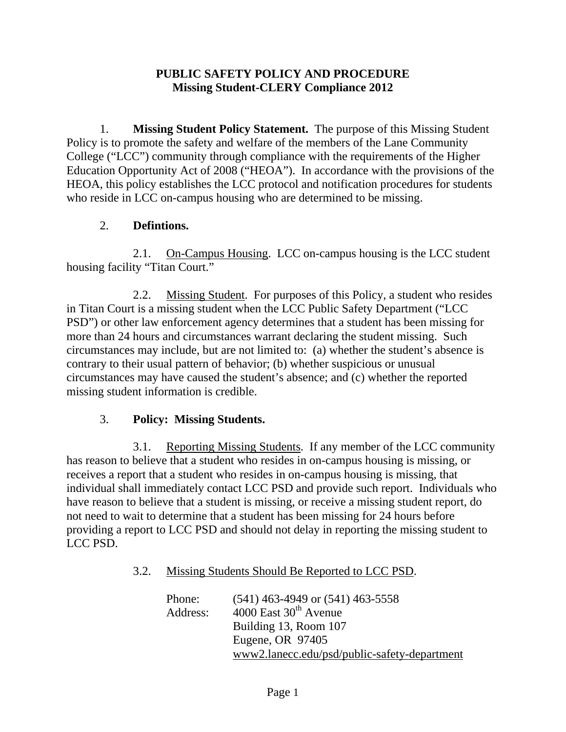### **PUBLIC SAFETY POLICY AND PROCEDURE Missing Student-CLERY Compliance 2012**

1. **Missing Student Policy Statement.** The purpose of this Missing Student Policy is to promote the safety and welfare of the members of the Lane Community College ("LCC") community through compliance with the requirements of the Higher Education Opportunity Act of 2008 ("HEOA"). In accordance with the provisions of the HEOA, this policy establishes the LCC protocol and notification procedures for students who reside in LCC on-campus housing who are determined to be missing.

### 2. **Defintions.**

2.1. On-Campus Housing. LCC on-campus housing is the LCC student housing facility "Titan Court."

2.2. Missing Student. For purposes of this Policy, a student who resides in Titan Court is a missing student when the LCC Public Safety Department ("LCC PSD") or other law enforcement agency determines that a student has been missing for more than 24 hours and circumstances warrant declaring the student missing. Such circumstances may include, but are not limited to: (a) whether the student's absence is contrary to their usual pattern of behavior; (b) whether suspicious or unusual circumstances may have caused the student's absence; and (c) whether the reported missing student information is credible.

# 3. **Policy: Missing Students.**

3.1. Reporting Missing Students. If any member of the LCC community has reason to believe that a student who resides in on-campus housing is missing, or receives a report that a student who resides in on-campus housing is missing, that individual shall immediately contact LCC PSD and provide such report. Individuals who have reason to believe that a student is missing, or receive a missing student report, do not need to wait to determine that a student has been missing for 24 hours before providing a report to LCC PSD and should not delay in reporting the missing student to LCC PSD.

#### 3.2. Missing Students Should Be Reported to LCC PSD.

| Phone:   | $(541)$ 463-4949 or $(541)$ 463-5558         |
|----------|----------------------------------------------|
| Address: | $4000$ East $30th$ Avenue                    |
|          | Building 13, Room 107                        |
|          | Eugene, OR 97405                             |
|          | www2.lanecc.edu/psd/public-safety-department |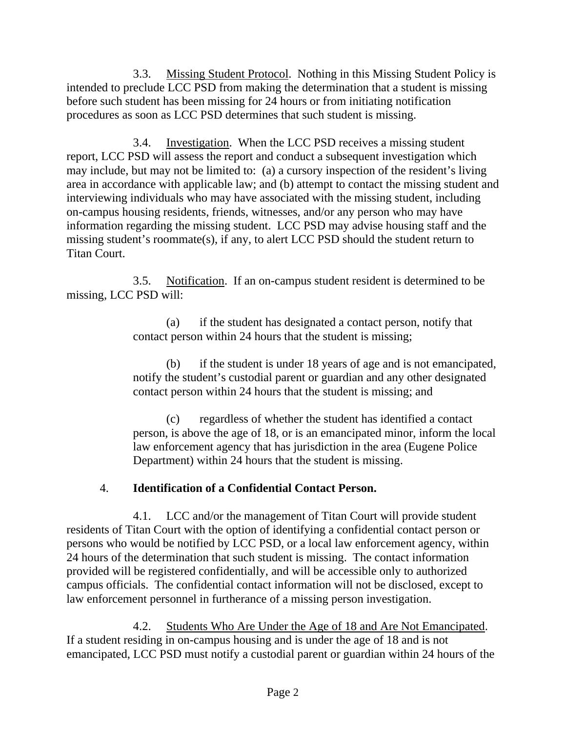3.3. Missing Student Protocol. Nothing in this Missing Student Policy is intended to preclude LCC PSD from making the determination that a student is missing before such student has been missing for 24 hours or from initiating notification procedures as soon as LCC PSD determines that such student is missing.

3.4. Investigation. When the LCC PSD receives a missing student report, LCC PSD will assess the report and conduct a subsequent investigation which may include, but may not be limited to: (a) a cursory inspection of the resident's living area in accordance with applicable law; and (b) attempt to contact the missing student and interviewing individuals who may have associated with the missing student, including on-campus housing residents, friends, witnesses, and/or any person who may have information regarding the missing student. LCC PSD may advise housing staff and the missing student's roommate(s), if any, to alert LCC PSD should the student return to Titan Court.

3.5. Notification. If an on-campus student resident is determined to be missing, LCC PSD will:

> (a) if the student has designated a contact person, notify that contact person within 24 hours that the student is missing;

(b) if the student is under 18 years of age and is not emancipated, notify the student's custodial parent or guardian and any other designated contact person within 24 hours that the student is missing; and

(c) regardless of whether the student has identified a contact person, is above the age of 18, or is an emancipated minor, inform the local law enforcement agency that has jurisdiction in the area (Eugene Police Department) within 24 hours that the student is missing.

# 4. **Identification of a Confidential Contact Person.**

4.1. LCC and/or the management of Titan Court will provide student residents of Titan Court with the option of identifying a confidential contact person or persons who would be notified by LCC PSD, or a local law enforcement agency, within 24 hours of the determination that such student is missing. The contact information provided will be registered confidentially, and will be accessible only to authorized campus officials. The confidential contact information will not be disclosed, except to law enforcement personnel in furtherance of a missing person investigation.

4.2. Students Who Are Under the Age of 18 and Are Not Emancipated. If a student residing in on-campus housing and is under the age of 18 and is not emancipated, LCC PSD must notify a custodial parent or guardian within 24 hours of the